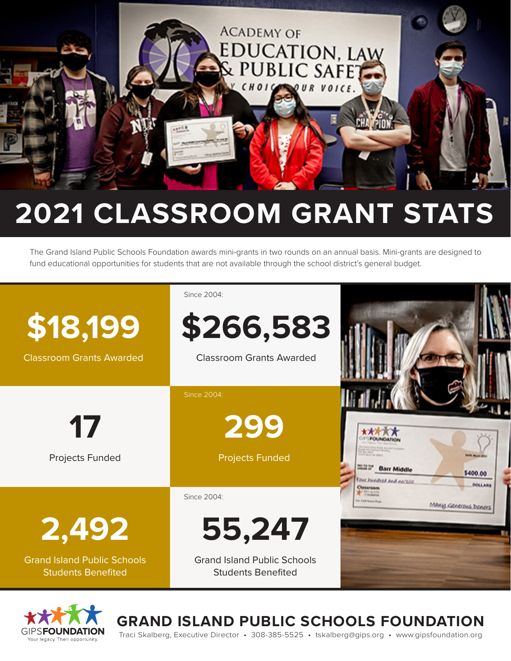

# **2021 CLASSROOM GRANT STATS**

The Grand Island Public Schools Foundation awards mini-grants in two rounds on an annual basis. Mini-grants are designed to fund educational opportunities for students that are not available through the school district's general budget.





**GRAND ISLAND PUBLIC SCHOOLS FOUNDATION**

Traci Skalberg, Executive Director • 308-385-5525 • tskalberg@gips.org • www.gipsfoundation.org